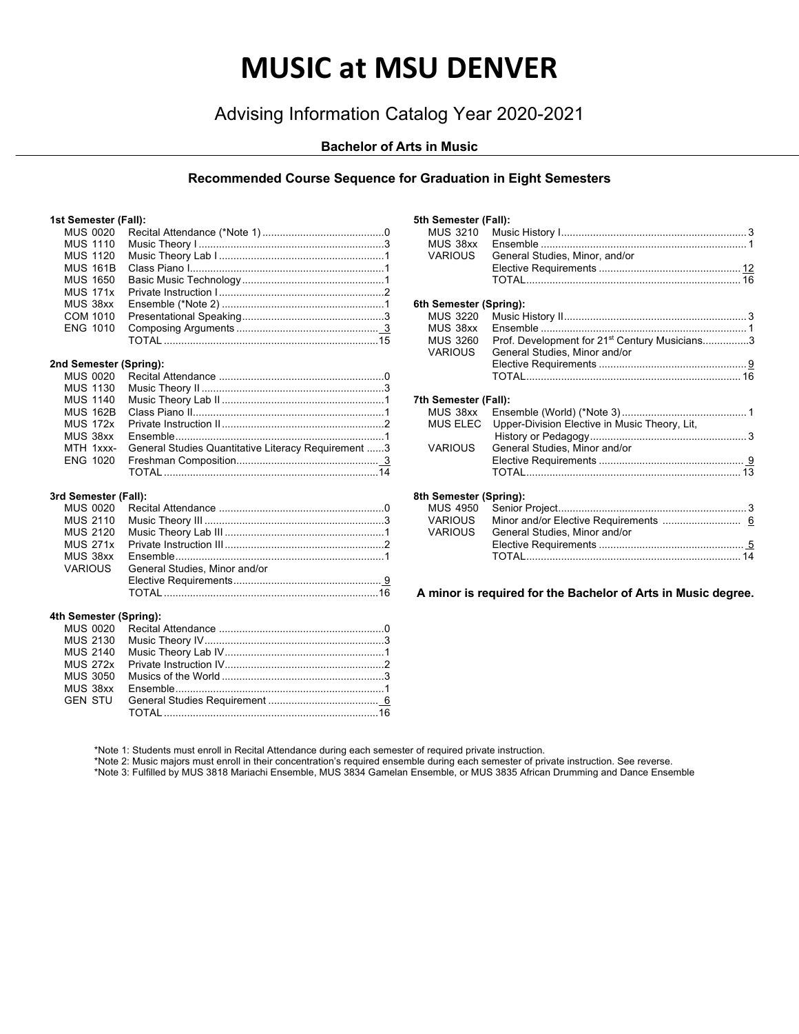# **MUSIC at MSU DENVER**

# Advising Information Catalog Year 2020-2021

# **Bachelor of Arts in Music**

## **Recommended Course Sequence for Graduation in Eight Semesters**

#### **1st Semester (Fall):**

|  | <b>MUS 0020</b> |                        |  |
|--|-----------------|------------------------|--|
|  | <b>MUS 1110</b> |                        |  |
|  | <b>MUS 1120</b> |                        |  |
|  | <b>MUS 161B</b> |                        |  |
|  | MUS 1650        |                        |  |
|  | <b>MUS 171x</b> |                        |  |
|  | MUS 38xx        |                        |  |
|  | COM 1010        |                        |  |
|  | ENG 1010        |                        |  |
|  |                 |                        |  |
|  |                 | 2nd Semester (Spring): |  |
|  | <b>MUS 0020</b> |                        |  |
|  | MUS 1130        |                        |  |
|  | MUS 1140        |                        |  |
|  | <b>MUS 162B</b> |                        |  |

| MTH 1xxx- General Studies Quantitative Literacy Requirement 3 |  |
|---------------------------------------------------------------|--|
|                                                               |  |
|                                                               |  |

#### **3rd Semester (Fall):**

| VARIOUS General Studies, Minor and/or |  |
|---------------------------------------|--|
|                                       |  |
|                                       |  |

#### **4th Semester (Spring):**

| MUS 38xx |  |
|----------|--|
|          |  |
|          |  |
|          |  |

| 5th Semester (Fall):   |                                                           |  |
|------------------------|-----------------------------------------------------------|--|
| MUS 3210               |                                                           |  |
| MUS 38xx               |                                                           |  |
| VARIOUS                | General Studies, Minor, and/or                            |  |
|                        |                                                           |  |
|                        |                                                           |  |
|                        |                                                           |  |
| 6th Semester (Spring): |                                                           |  |
| <b>MUS 3220</b>        |                                                           |  |
| MUS 38xx               |                                                           |  |
| MUS 3260<br>VARIOUS    | Prof. Development for 21 <sup>st</sup> Century Musicians3 |  |
|                        | General Studies, Minor and/or                             |  |
|                        |                                                           |  |
|                        |                                                           |  |
| 7th Semester (Fall):   |                                                           |  |
| MUS 38xx               |                                                           |  |
| MUS ELEC               | Upper-Division Elective in Music Theory, Lit,             |  |
|                        |                                                           |  |
| <b>VARIOUS</b>         | General Studies, Minor and/or                             |  |
|                        |                                                           |  |
|                        |                                                           |  |
|                        |                                                           |  |
| 8th Semester (Spring): |                                                           |  |
| <b>MUS 4950</b>        |                                                           |  |
| VARIOUS                |                                                           |  |
| <b>VARIOUS</b>         | General Studies, Minor and/or                             |  |
|                        |                                                           |  |
|                        |                                                           |  |

**A minor is required for the Bachelor of Arts in Music degree.**

\*Note 1: Students must enroll in Recital Attendance during each semester of required private instruction.

\*Note 2: Music majors must enroll in their concentration's required ensemble during each semester of private instruction. See reverse.

\*Note 3: Fulfilled by MUS 3818 Mariachi Ensemble, MUS 3834 Gamelan Ensemble, or MUS 3835 African Drumming and Dance Ensemble